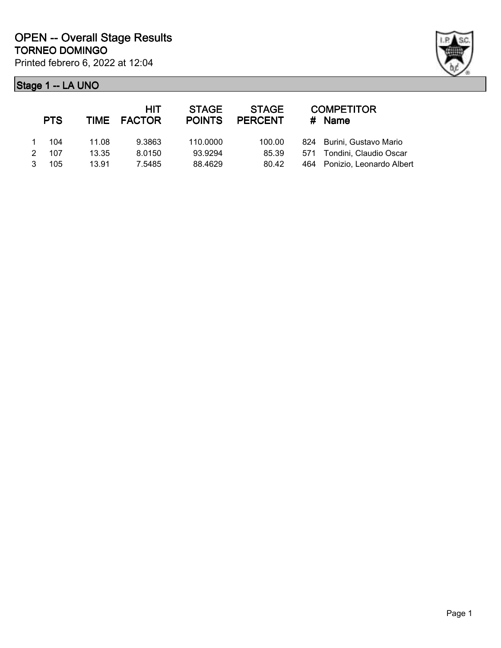

|               | <b>PTS</b> |       | HIT<br>TIME FACTOR | <b>STAGE</b><br><b>POINTS</b> | <b>STAGE</b><br><b>PERCENT</b> |     | <b>COMPETITOR</b><br># Name |
|---------------|------------|-------|--------------------|-------------------------------|--------------------------------|-----|-----------------------------|
|               | 104        | 11.08 | 9.3863             | 110.0000                      | 100.00                         |     | 824 Burini, Gustavo Mario   |
| $\mathcal{P}$ | 107        | 13.35 | 8.0150             | 93.9294                       | 85.39                          |     | 571 Tondini, Claudio Oscar  |
| 3             | 105        | 13.91 | 7.5485             | 88.4629                       | 80.42                          | 464 | Ponizio, Leonardo Albert    |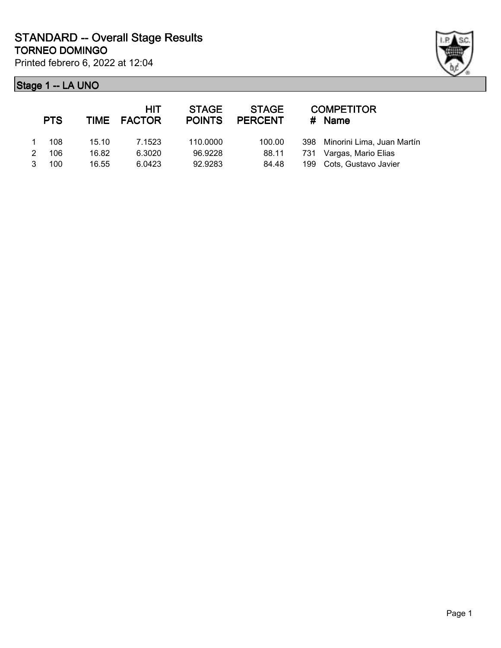

|               | <b>PTS</b> |       | <b>HIT</b><br>TIME FACTOR | <b>STAGE</b><br><b>POINTS</b> | <b>STAGE</b><br><b>PERCENT</b> |     | <b>COMPETITOR</b><br># Name    |
|---------------|------------|-------|---------------------------|-------------------------------|--------------------------------|-----|--------------------------------|
|               | 108        | 15.10 | 7.1523                    | 110,0000                      | 100.00                         |     | 398 Minorini Lima, Juan Martín |
| $\mathcal{P}$ | 106        | 16.82 | 6.3020                    | 96.9228                       | 88.11                          | 731 | Vargas, Mario Elias            |
|               | 100        | 16.55 | 6.0423                    | 92.9283                       | 84.48                          |     | 199 Cots, Gustavo Javier       |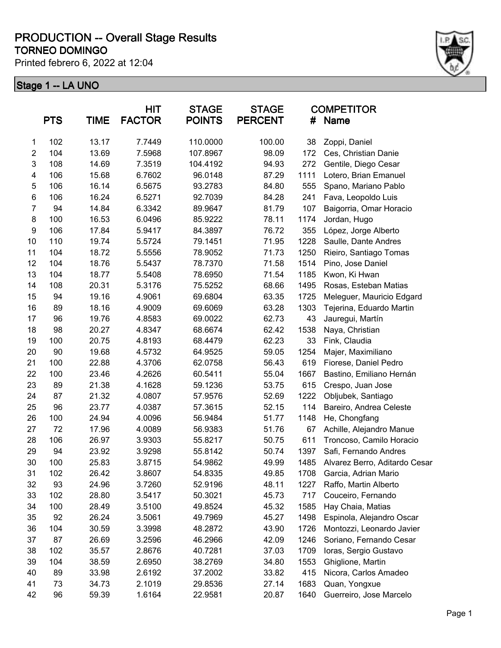Printed febrero 6, 2022 at 12:04



|                | <b>PTS</b> | <b>TIME</b> | <b>HIT</b><br><b>FACTOR</b> | <b>STAGE</b><br><b>POINTS</b> | <b>STAGE</b><br><b>PERCENT</b> | #    | <b>COMPETITOR</b><br><b>Name</b> |
|----------------|------------|-------------|-----------------------------|-------------------------------|--------------------------------|------|----------------------------------|
| 1              | 102        | 13.17       | 7.7449                      | 110.0000                      | 100.00                         | 38   | Zoppi, Daniel                    |
| $\overline{2}$ | 104        | 13.69       | 7.5968                      | 107.8967                      | 98.09                          | 172  | Ces, Christian Danie             |
| 3              | 108        | 14.69       | 7.3519                      | 104.4192                      | 94.93                          | 272  | Gentile, Diego Cesar             |
| 4              | 106        | 15.68       | 6.7602                      | 96.0148                       | 87.29                          | 1111 | Lotero, Brian Emanuel            |
| 5              | 106        | 16.14       | 6.5675                      | 93.2783                       | 84.80                          | 555  | Spano, Mariano Pablo             |
| 6              | 106        | 16.24       | 6.5271                      | 92.7039                       | 84.28                          | 241  | Fava, Leopoldo Luis              |
| $\overline{7}$ | 94         | 14.84       | 6.3342                      | 89.9647                       | 81.79                          | 107  | Baigorria, Omar Horacio          |
| 8              | 100        | 16.53       | 6.0496                      | 85.9222                       | 78.11                          | 1174 | Jordan, Hugo                     |
| 9              | 106        | 17.84       | 5.9417                      | 84.3897                       | 76.72                          | 355  | López, Jorge Alberto             |
| 10             | 110        | 19.74       | 5.5724                      | 79.1451                       | 71.95                          | 1228 | Saulle, Dante Andres             |
| 11             | 104        | 18.72       | 5.5556                      | 78.9052                       | 71.73                          | 1250 | Rieiro, Santiago Tomas           |
| 12             | 104        | 18.76       | 5.5437                      | 78.7370                       | 71.58                          | 1514 | Pino, Jose Daniel                |
| 13             | 104        | 18.77       | 5.5408                      | 78.6950                       | 71.54                          | 1185 | Kwon, Ki Hwan                    |
| 14             | 108        | 20.31       | 5.3176                      | 75.5252                       | 68.66                          | 1495 | Rosas, Esteban Matias            |
| 15             | 94         | 19.16       | 4.9061                      | 69.6804                       | 63.35                          | 1725 | Meleguer, Mauricio Edgard        |
| 16             | 89         | 18.16       | 4.9009                      | 69.6069                       | 63.28                          | 1303 | Tejerina, Eduardo Martin         |
| 17             | 96         | 19.76       | 4.8583                      | 69.0022                       | 62.73                          | 43   | Jauregui, Martín                 |
| 18             | 98         | 20.27       | 4.8347                      | 68.6674                       | 62.42                          | 1538 | Naya, Christian                  |
| 19             | 100        | 20.75       | 4.8193                      | 68.4479                       | 62.23                          | 33   | Fink, Claudia                    |
| 20             | 90         | 19.68       | 4.5732                      | 64.9525                       | 59.05                          | 1254 | Majer, Maximiliano               |
| 21             | 100        | 22.88       | 4.3706                      | 62.0758                       | 56.43                          | 619  | Fiorese, Daniel Pedro            |
| 22             | 100        | 23.46       | 4.2626                      | 60.5411                       | 55.04                          | 1667 | Bastino, Emiliano Hernán         |
| 23             | 89         | 21.38       | 4.1628                      | 59.1236                       | 53.75                          | 615  | Crespo, Juan Jose                |
| 24             | 87         | 21.32       | 4.0807                      | 57.9576                       | 52.69                          | 1222 | Obljubek, Santiago               |
| 25             | 96         | 23.77       | 4.0387                      | 57.3615                       | 52.15                          | 114  | Bareiro, Andrea Celeste          |
| 26             | 100        | 24.94       | 4.0096                      | 56.9484                       | 51.77                          | 1148 | He, Chongfang                    |
| 27             | 72         | 17.96       | 4.0089                      | 56.9383                       | 51.76                          | 67   | Achille, Alejandro Manue         |
| 28             | 106        | 26.97       | 3.9303                      | 55.8217                       | 50.75                          | 611  | Troncoso, Camilo Horacio         |
| 29             | 94         | 23.92       | 3.9298                      | 55.8142                       | 50.74                          | 1397 | Safi, Fernando Andres            |
| 30             | 100        | 25.83       | 3.8715                      | 54.9862                       | 49.99                          | 1485 | Alvarez Berro, Aditardo Cesar    |
| 31             | 102        | 26.42       | 3.8607                      | 54.8335                       | 49.85                          | 1708 | Garcia, Adrian Mario             |
| 32             | 93         | 24.96       | 3.7260                      | 52.9196                       | 48.11                          | 1227 | Raffo, Martin Alberto            |
| 33             | 102        | 28.80       | 3.5417                      | 50.3021                       | 45.73                          | 717  | Couceiro, Fernando               |
| 34             | 100        | 28.49       | 3.5100                      | 49.8524                       | 45.32                          | 1585 | Hay Chaia, Matias                |
| 35             | 92         | 26.24       | 3.5061                      | 49.7969                       | 45.27                          | 1498 | Espinola, Alejandro Oscar        |
| 36             | 104        | 30.59       | 3.3998                      | 48.2872                       | 43.90                          | 1726 | Montozzi, Leonardo Javier        |
| 37             | 87         | 26.69       | 3.2596                      | 46.2966                       | 42.09                          | 1246 | Soriano, Fernando Cesar          |
| 38             | 102        | 35.57       | 2.8676                      | 40.7281                       | 37.03                          | 1709 | Ioras, Sergio Gustavo            |
| 39             | 104        | 38.59       | 2.6950                      | 38.2769                       | 34.80                          | 1553 | Ghiglione, Martin                |
| 40             | 89         | 33.98       | 2.6192                      | 37.2002                       | 33.82                          | 415  | Nicora, Carlos Amadeo            |
| 41             | 73         | 34.73       | 2.1019                      | 29.8536                       | 27.14                          | 1683 | Quan, Yongxue                    |
| 42             | 96         | 59.39       | 1.6164                      | 22.9581                       | 20.87                          | 1640 | Guerreiro, Jose Marcelo          |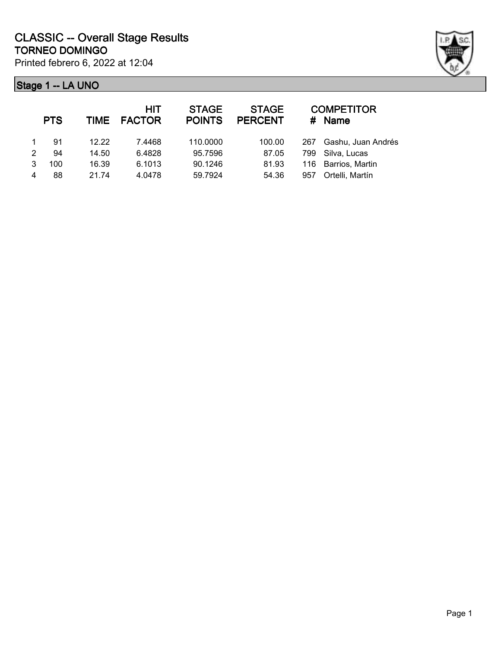

|   | <b>PTS</b> | <b>TIME</b> | HIT<br><b>FACTOR</b> | <b>STAGE</b><br><b>POINTS</b> | <b>STAGE</b><br><b>PERCENT</b> |     | <b>COMPETITOR</b><br>$#$ Name |
|---|------------|-------------|----------------------|-------------------------------|--------------------------------|-----|-------------------------------|
|   | 91         | 12.22       | 7.4468               | 110.0000                      | 100.00                         | 267 | Gashu, Juan Andrés            |
| 2 | 94         | 14.50       | 6.4828               | 95.7596                       | 87.05                          | 799 | Silva, Lucas                  |
| 3 | 100        | 16.39       | 6.1013               | 90.1246                       | 81.93                          |     | 116 Barrios, Martin           |
|   | 88         | 21.74       | 4.0478               | 59.7924                       | 54.36                          | 957 | Ortelli, Martín               |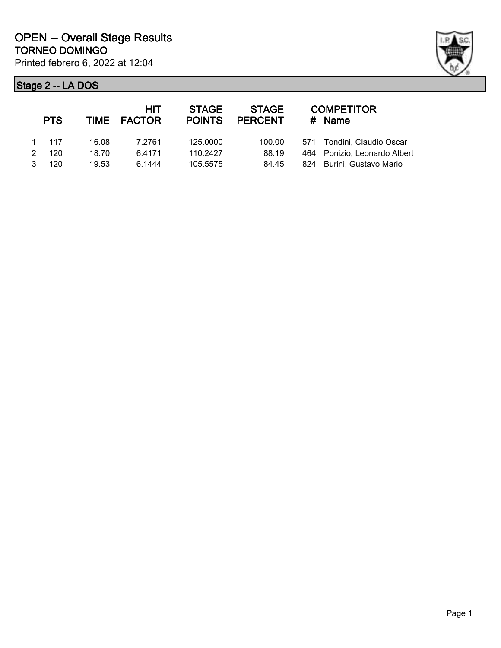

|               | <b>PTS</b> |       | HIT<br>TIME FACTOR | <b>STAGE</b><br><b>POINTS</b> | <b>STAGE</b><br><b>PERCENT</b> | <b>COMPETITOR</b><br>$#$ Name |
|---------------|------------|-------|--------------------|-------------------------------|--------------------------------|-------------------------------|
|               | 1 117      | 16.08 | 7.2761             | 125,0000                      | 100.00                         | 571 Tondini, Claudio Oscar    |
| $\mathcal{P}$ | 120        | 18.70 | 6.4171             | 110.2427                      | 88.19                          | 464 Ponizio, Leonardo Albert  |
| 3             | 120        | 19.53 | 6.1444             | 105.5575                      | 84.45                          | 824 Burini, Gustavo Mario     |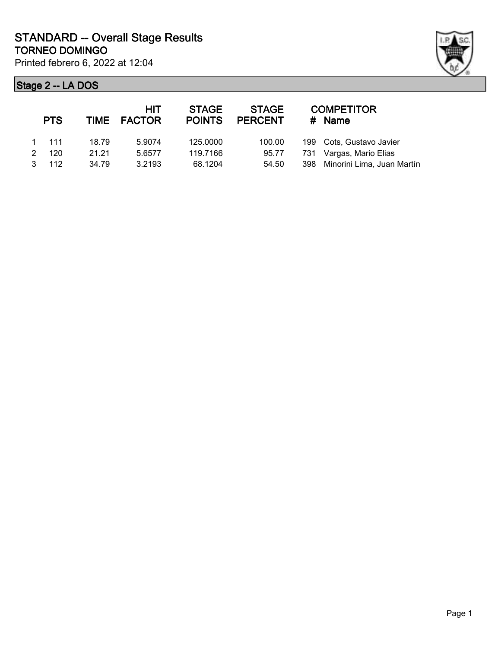

|   | <b>PTS</b>    |       | <b>HIT</b><br>TIME FACTOR | <b>STAGE</b><br><b>POINTS</b> | <b>STAGE</b><br><b>PERCENT</b> | <b>COMPETITOR</b><br>$#$ Name  |
|---|---------------|-------|---------------------------|-------------------------------|--------------------------------|--------------------------------|
|   | $1 \quad 111$ | 18.79 | 5.9074                    | 125,0000                      | 100.00                         | 199 Cots, Gustavo Javier       |
|   | 120           | 21.21 | 5.6577                    | 119.7166                      | 95.77                          | 731 Vargas, Mario Elias        |
| 3 | 112           | 34.79 | 3.2193                    | 68.1204                       | 54.50                          | 398 Minorini Lima, Juan Martín |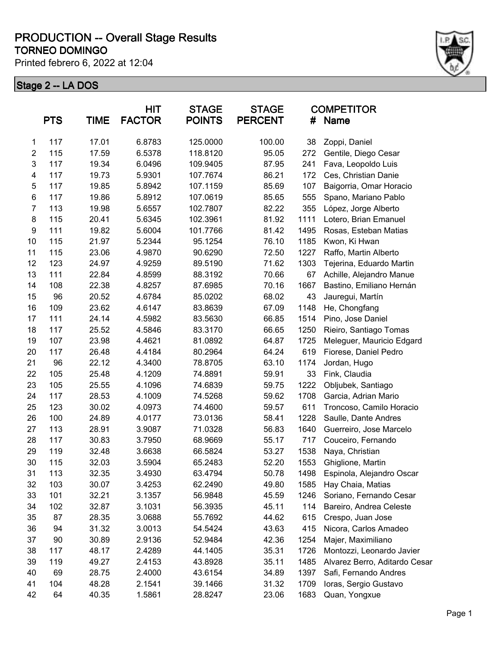Printed febrero 6, 2022 at 12:04



|                  | <b>PTS</b> | <b>TIME</b> | <b>HIT</b><br><b>FACTOR</b> | <b>STAGE</b><br><b>POINTS</b> | <b>STAGE</b><br><b>PERCENT</b> | #    | <b>COMPETITOR</b><br>Name     |
|------------------|------------|-------------|-----------------------------|-------------------------------|--------------------------------|------|-------------------------------|
| $\mathbf 1$      | 117        | 17.01       | 6.8783                      | 125.0000                      | 100.00                         | 38   | Zoppi, Daniel                 |
| $\boldsymbol{2}$ | 115        | 17.59       | 6.5378                      | 118.8120                      | 95.05                          | 272  | Gentile, Diego Cesar          |
| 3                | 117        | 19.34       | 6.0496                      | 109.9405                      | 87.95                          | 241  | Fava, Leopoldo Luis           |
| 4                | 117        | 19.73       | 5.9301                      | 107.7674                      | 86.21                          | 172  | Ces, Christian Danie          |
| $\sqrt{5}$       | 117        | 19.85       | 5.8942                      | 107.1159                      | 85.69                          | 107  | Baigorria, Omar Horacio       |
| $\,6$            | 117        | 19.86       | 5.8912                      | 107.0619                      | 85.65                          | 555  | Spano, Mariano Pablo          |
| $\overline{7}$   | 113        | 19.98       | 5.6557                      | 102.7807                      | 82.22                          | 355  | López, Jorge Alberto          |
| 8                | 115        | 20.41       | 5.6345                      | 102.3961                      | 81.92                          | 1111 | Lotero, Brian Emanuel         |
| $\boldsymbol{9}$ | 111        | 19.82       | 5.6004                      | 101.7766                      | 81.42                          | 1495 | Rosas, Esteban Matias         |
| 10               | 115        | 21.97       | 5.2344                      | 95.1254                       | 76.10                          | 1185 | Kwon, Ki Hwan                 |
| 11               | 115        | 23.06       | 4.9870                      | 90.6290                       | 72.50                          | 1227 | Raffo, Martin Alberto         |
| 12               | 123        | 24.97       | 4.9259                      | 89.5190                       | 71.62                          | 1303 | Tejerina, Eduardo Martin      |
| 13               | 111        | 22.84       | 4.8599                      | 88.3192                       | 70.66                          | 67   | Achille, Alejandro Manue      |
| 14               | 108        | 22.38       | 4.8257                      | 87.6985                       | 70.16                          | 1667 | Bastino, Emiliano Hernán      |
| 15               | 96         | 20.52       | 4.6784                      | 85.0202                       | 68.02                          | 43   | Jauregui, Martín              |
| 16               | 109        | 23.62       | 4.6147                      | 83.8639                       | 67.09                          | 1148 | He, Chongfang                 |
| 17               | 111        | 24.14       | 4.5982                      | 83.5630                       | 66.85                          | 1514 | Pino, Jose Daniel             |
| 18               | 117        | 25.52       | 4.5846                      | 83.3170                       | 66.65                          | 1250 | Rieiro, Santiago Tomas        |
| 19               | 107        | 23.98       | 4.4621                      | 81.0892                       | 64.87                          | 1725 | Meleguer, Mauricio Edgard     |
| 20               | 117        | 26.48       | 4.4184                      | 80.2964                       | 64.24                          | 619  | Fiorese, Daniel Pedro         |
| 21               | 96         | 22.12       | 4.3400                      | 78.8705                       | 63.10                          | 1174 | Jordan, Hugo                  |
| 22               | 105        | 25.48       | 4.1209                      | 74.8891                       | 59.91                          | 33   | Fink, Claudia                 |
| 23               | 105        | 25.55       | 4.1096                      | 74.6839                       | 59.75                          | 1222 | Obljubek, Santiago            |
| 24               | 117        | 28.53       | 4.1009                      | 74.5268                       | 59.62                          | 1708 | Garcia, Adrian Mario          |
| 25               | 123        | 30.02       | 4.0973                      | 74.4600                       | 59.57                          | 611  | Troncoso, Camilo Horacio      |
| 26               | 100        | 24.89       | 4.0177                      | 73.0136                       | 58.41                          | 1228 | Saulle, Dante Andres          |
| 27               | 113        | 28.91       | 3.9087                      | 71.0328                       | 56.83                          | 1640 | Guerreiro, Jose Marcelo       |
| 28               | 117        | 30.83       | 3.7950                      | 68.9669                       | 55.17                          | 717  | Couceiro, Fernando            |
| 29               | 119        | 32.48       | 3.6638                      | 66.5824                       | 53.27                          | 1538 | Naya, Christian               |
| 30               | 115        | 32.03       | 3.5904                      | 65.2483                       | 52.20                          | 1553 | Ghiglione, Martin             |
| 31               | 113        | 32.35       | 3.4930                      | 63.4794                       | 50.78                          | 1498 | Espinola, Alejandro Oscar     |
| 32               | 103        | 30.07       | 3.4253                      | 62.2490                       | 49.80                          | 1585 | Hay Chaia, Matias             |
| 33               | 101        | 32.21       | 3.1357                      | 56.9848                       | 45.59                          | 1246 | Soriano, Fernando Cesar       |
| 34               | 102        | 32.87       | 3.1031                      | 56.3935                       | 45.11                          | 114  | Bareiro, Andrea Celeste       |
| 35               | 87         | 28.35       | 3.0688                      | 55.7692                       | 44.62                          | 615  | Crespo, Juan Jose             |
| 36               | 94         | 31.32       | 3.0013                      | 54.5424                       | 43.63                          | 415  | Nicora, Carlos Amadeo         |
| 37               | 90         | 30.89       | 2.9136                      | 52.9484                       | 42.36                          | 1254 | Majer, Maximiliano            |
| 38               | 117        | 48.17       | 2.4289                      | 44.1405                       | 35.31                          | 1726 | Montozzi, Leonardo Javier     |
| 39               | 119        | 49.27       | 2.4153                      | 43.8928                       | 35.11                          | 1485 | Alvarez Berro, Aditardo Cesar |
| 40               | 69         | 28.75       | 2.4000                      | 43.6154                       | 34.89                          | 1397 | Safi, Fernando Andres         |
| 41               | 104        | 48.28       | 2.1541                      | 39.1466                       | 31.32                          | 1709 | Ioras, Sergio Gustavo         |
| 42               | 64         | 40.35       | 1.5861                      | 28.8247                       | 23.06                          | 1683 | Quan, Yongxue                 |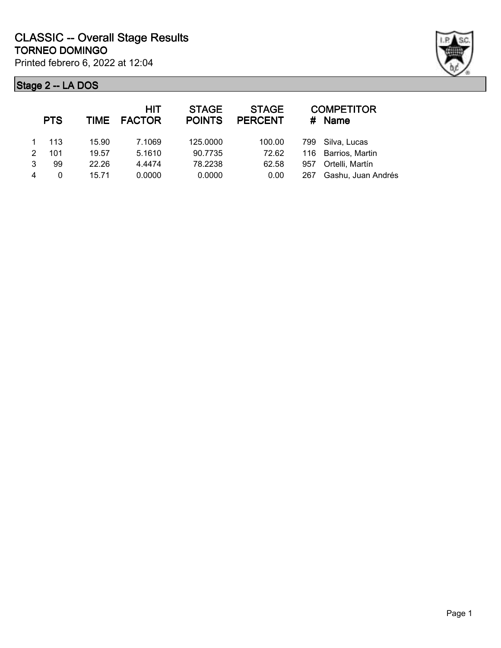

|   | <b>PTS</b> | TIME  | <b>HIT</b><br><b>FACTOR</b> | <b>STAGE</b><br><b>POINTS</b> | <b>STAGE</b><br><b>PERCENT</b> |     | <b>COMPETITOR</b><br># Name |
|---|------------|-------|-----------------------------|-------------------------------|--------------------------------|-----|-----------------------------|
|   | 113        | 15.90 | 7.1069                      | 125.0000                      | 100.00                         |     | 799 Silva, Lucas            |
| 2 | 101        | 19.57 | 5.1610                      | 90.7735                       | 72.62                          |     | 116 Barrios, Martin         |
| 3 | 99         | 22.26 | 4.4474                      | 78.2238                       | 62.58                          | 957 | Ortelli, Martín             |
|   | 0          | 15.71 | 0.0000                      | 0.0000                        | 0.00                           | 267 | Gashu, Juan Andrés          |
|   |            |       |                             |                               |                                |     |                             |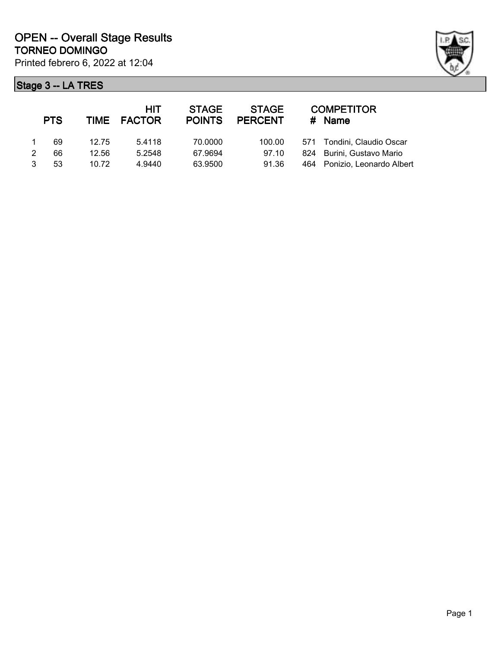

|   | <b>PTS</b> |       | <b>HIT</b><br>TIME FACTOR | <b>STAGE</b><br><b>POINTS</b> | <b>STAGE</b><br><b>PERCENT</b> | #   | <b>COMPETITOR</b><br>Name  |
|---|------------|-------|---------------------------|-------------------------------|--------------------------------|-----|----------------------------|
|   | 69         | 12.75 | 5.4118                    | 70.0000                       | 100.00                         |     | 571 Tondini, Claudio Oscar |
| 2 | 66         | 12.56 | 5.2548                    | 67.9694                       | 97.10                          |     | 824 Burini, Gustavo Mario  |
| 3 | 53         | 10.72 | 4.9440                    | 63.9500                       | 91.36                          | 464 | Ponizio, Leonardo Albert   |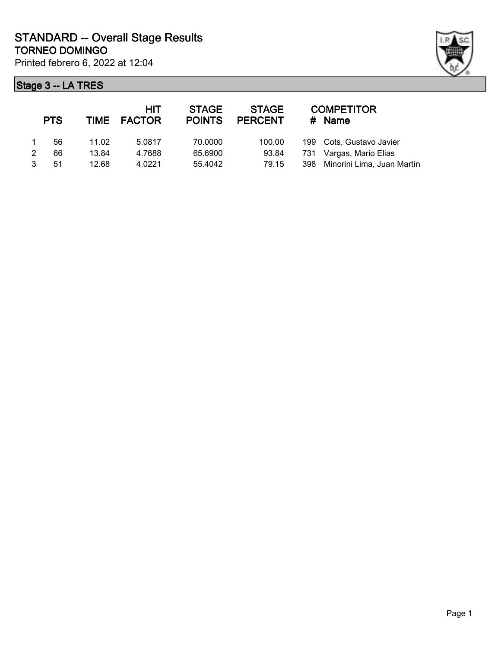

|   | <b>PTS</b> |       | <b>HIT</b><br>TIME FACTOR | <b>STAGE</b><br><b>POINTS</b> | <b>STAGE</b><br><b>PERCENT</b> | # | <b>COMPETITOR</b><br>Name      |
|---|------------|-------|---------------------------|-------------------------------|--------------------------------|---|--------------------------------|
|   | 56         | 11.02 | 5.0817                    | 70.0000                       | 100.00                         |   | 199 Cots, Gustavo Javier       |
| 2 | 66         | 13.84 | 4.7688                    | 65.6900                       | 93.84                          |   | 731 Vargas, Mario Elias        |
|   | 51         | 12.68 | 4.0221                    | 55.4042                       | 79.15                          |   | 398 Minorini Lima, Juan Martín |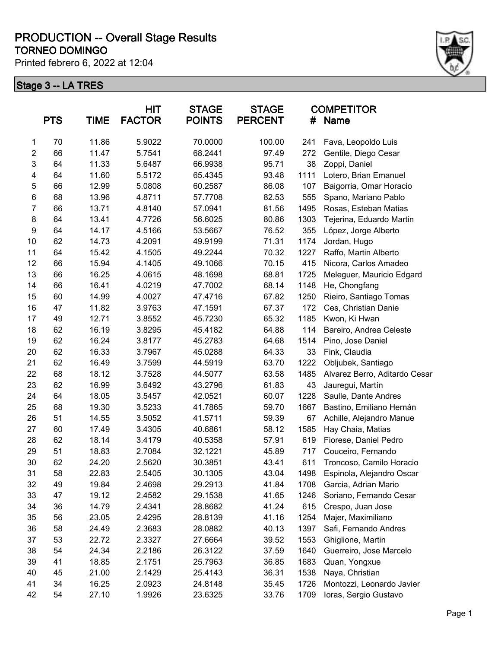Printed febrero 6, 2022 at 12:04



|                | <b>PTS</b> | <b>TIME</b> | <b>HIT</b><br><b>FACTOR</b> | <b>STAGE</b><br><b>POINTS</b> | <b>STAGE</b><br><b>PERCENT</b> | #    | <b>COMPETITOR</b><br><b>Name</b> |
|----------------|------------|-------------|-----------------------------|-------------------------------|--------------------------------|------|----------------------------------|
| 1              | 70         | 11.86       | 5.9022                      | 70.0000                       | 100.00                         | 241  | Fava, Leopoldo Luis              |
| $\overline{c}$ | 66         | 11.47       | 5.7541                      | 68.2441                       | 97.49                          | 272  | Gentile, Diego Cesar             |
| 3              | 64         | 11.33       | 5.6487                      | 66.9938                       | 95.71                          | 38   | Zoppi, Daniel                    |
| 4              | 64         | 11.60       | 5.5172                      | 65.4345                       | 93.48                          | 1111 | Lotero, Brian Emanuel            |
| 5              | 66         | 12.99       | 5.0808                      | 60.2587                       | 86.08                          | 107  | Baigorria, Omar Horacio          |
| 6              | 68         | 13.96       | 4.8711                      | 57.7708                       | 82.53                          | 555  | Spano, Mariano Pablo             |
| 7              | 66         | 13.71       | 4.8140                      | 57.0941                       | 81.56                          | 1495 | Rosas, Esteban Matias            |
| 8              | 64         | 13.41       | 4.7726                      | 56.6025                       | 80.86                          | 1303 | Tejerina, Eduardo Martin         |
| 9              | 64         | 14.17       | 4.5166                      | 53.5667                       | 76.52                          | 355  | López, Jorge Alberto             |
| 10             | 62         | 14.73       | 4.2091                      | 49.9199                       | 71.31                          | 1174 | Jordan, Hugo                     |
| 11             | 64         | 15.42       | 4.1505                      | 49.2244                       | 70.32                          | 1227 | Raffo, Martin Alberto            |
| 12             | 66         | 15.94       | 4.1405                      | 49.1066                       | 70.15                          | 415  | Nicora, Carlos Amadeo            |
| 13             | 66         | 16.25       | 4.0615                      | 48.1698                       | 68.81                          | 1725 | Meleguer, Mauricio Edgard        |
| 14             | 66         | 16.41       | 4.0219                      | 47.7002                       | 68.14                          | 1148 | He, Chongfang                    |
| 15             | 60         | 14.99       | 4.0027                      | 47.4716                       | 67.82                          | 1250 | Rieiro, Santiago Tomas           |
| 16             | 47         | 11.82       | 3.9763                      | 47.1591                       | 67.37                          | 172  | Ces, Christian Danie             |
| 17             | 49         | 12.71       | 3.8552                      | 45.7230                       | 65.32                          | 1185 | Kwon, Ki Hwan                    |
| 18             | 62         | 16.19       | 3.8295                      | 45.4182                       | 64.88                          | 114  | Bareiro, Andrea Celeste          |
| 19             | 62         | 16.24       | 3.8177                      | 45.2783                       | 64.68                          | 1514 | Pino, Jose Daniel                |
| 20             | 62         | 16.33       | 3.7967                      | 45.0288                       | 64.33                          | 33   | Fink, Claudia                    |
| 21             | 62         | 16.49       | 3.7599                      | 44.5919                       | 63.70                          | 1222 | Obljubek, Santiago               |
| 22             | 68         | 18.12       | 3.7528                      | 44.5077                       | 63.58                          | 1485 | Alvarez Berro, Aditardo Cesar    |
| 23             | 62         | 16.99       | 3.6492                      | 43.2796                       | 61.83                          | 43   | Jauregui, Martín                 |
| 24             | 64         | 18.05       | 3.5457                      | 42.0521                       | 60.07                          | 1228 | Saulle, Dante Andres             |
| 25             | 68         | 19.30       | 3.5233                      | 41.7865                       | 59.70                          | 1667 | Bastino, Emiliano Hernán         |
| 26             | 51         | 14.55       | 3.5052                      | 41.5711                       | 59.39                          | 67   | Achille, Alejandro Manue         |
| 27             | 60         | 17.49       | 3.4305                      | 40.6861                       | 58.12                          | 1585 | Hay Chaia, Matias                |
| 28             | 62         | 18.14       | 3.4179                      | 40.5358                       | 57.91                          | 619  | Fiorese, Daniel Pedro            |
| 29             | 51         | 18.83       | 2.7084                      | 32.1221                       | 45.89                          | 717  | Couceiro, Fernando               |
| 30             | 62         | 24.20       | 2.5620                      | 30.3851                       | 43.41                          | 611  | Troncoso, Camilo Horacio         |
| 31             | 58         | 22.83       | 2.5405                      | 30.1305                       | 43.04                          | 1498 | Espinola, Alejandro Oscar        |
| 32             | 49         | 19.84       | 2.4698                      | 29.2913                       | 41.84                          | 1708 | Garcia, Adrian Mario             |
| 33             | 47         | 19.12       | 2.4582                      | 29.1538                       | 41.65                          | 1246 | Soriano, Fernando Cesar          |
| 34             | 36         | 14.79       | 2.4341                      | 28.8682                       | 41.24                          | 615  | Crespo, Juan Jose                |
| 35             | 56         | 23.05       | 2.4295                      | 28.8139                       | 41.16                          | 1254 | Majer, Maximiliano               |
| 36             | 58         | 24.49       | 2.3683                      | 28.0882                       | 40.13                          | 1397 | Safi, Fernando Andres            |
| 37             | 53         | 22.72       | 2.3327                      | 27.6664                       | 39.52                          | 1553 | Ghiglione, Martin                |
| 38             | 54         | 24.34       | 2.2186                      | 26.3122                       | 37.59                          | 1640 | Guerreiro, Jose Marcelo          |
| 39             | 41         | 18.85       | 2.1751                      | 25.7963                       | 36.85                          | 1683 | Quan, Yongxue                    |
| 40             | 45         | 21.00       | 2.1429                      | 25.4143                       | 36.31                          | 1538 | Naya, Christian                  |
| 41             | 34         | 16.25       | 2.0923                      | 24.8148                       | 35.45                          | 1726 | Montozzi, Leonardo Javier        |
| 42             | 54         | 27.10       | 1.9926                      | 23.6325                       | 33.76                          | 1709 | Ioras, Sergio Gustavo            |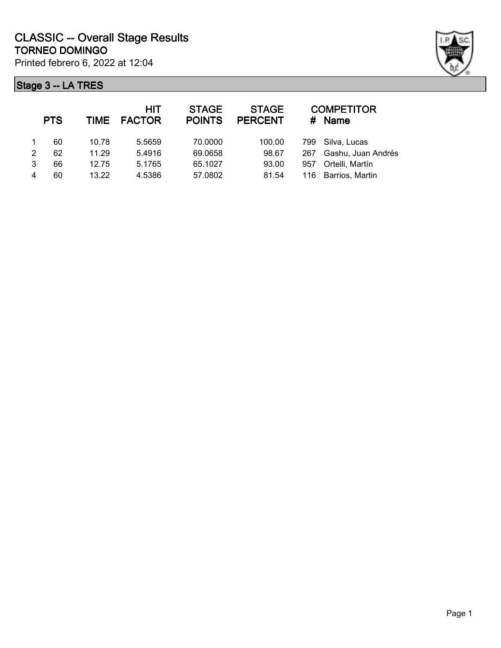

| <b>COMPETITOR</b><br># Name |
|-----------------------------|
| Silva. Lucas                |
| Gashu, Juan Andrés          |
| Ortelli, Martín             |
| 116 Barrios, Martin         |
|                             |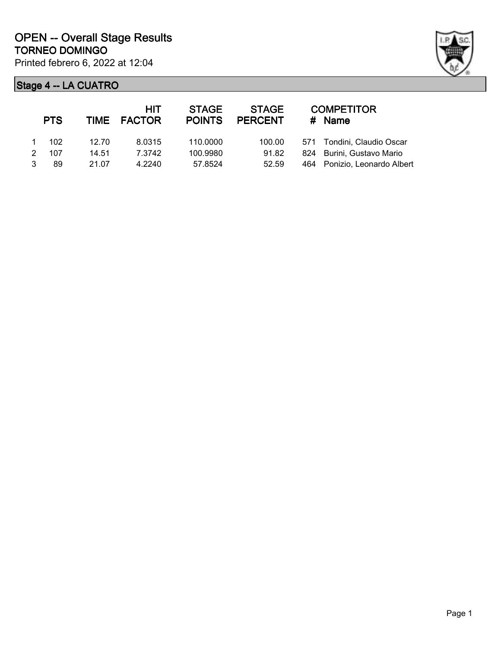

|   | <b>PTS</b> |       | <b>HIT</b><br>TIME FACTOR | <b>STAGE</b><br><b>POINTS</b> | <b>STAGE</b><br><b>PERCENT</b> |     | <b>COMPETITOR</b><br># Name |
|---|------------|-------|---------------------------|-------------------------------|--------------------------------|-----|-----------------------------|
|   | 102        | 12.70 | 8.0315                    | 110,0000                      | 100.00                         |     | 571 Tondini, Claudio Oscar  |
| 2 | 107        | 14.51 | 7.3742                    | 100.9980                      | 91.82                          |     | 824 Burini, Gustavo Mario   |
|   | 89         | 21.07 | 4.2240                    | 57.8524                       | 52.59                          | 464 | Ponizio, Leonardo Albert    |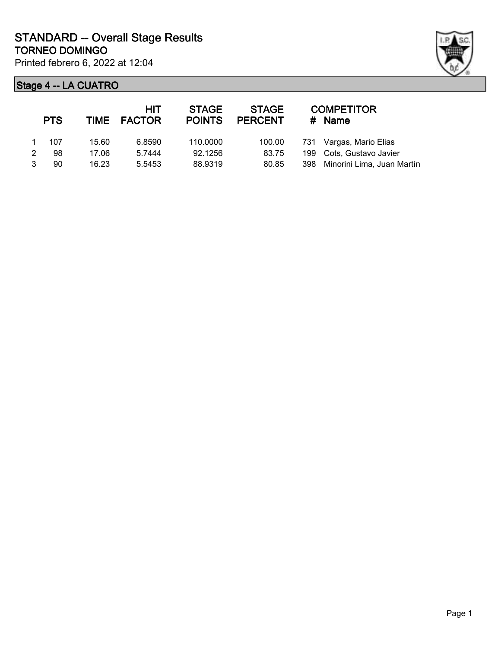

| <b>PTS</b> |       | <b>HIT</b><br>TIME FACTOR | <b>STAGE</b><br><b>POINTS</b> | <b>STAGE</b><br><b>PERCENT</b> | # | <b>COMPETITOR</b><br>Name      |
|------------|-------|---------------------------|-------------------------------|--------------------------------|---|--------------------------------|
| 107        | 15.60 | 6.8590                    | 110.0000                      | 100.00                         |   | 731 Vargas, Mario Elias        |
| 98         | 17.06 | 5.7444                    | 92.1256                       | 83.75                          |   | 199 Cots, Gustavo Javier       |
| 90         | 16.23 | 5.5453                    | 88.9319                       | 80.85                          |   | 398 Minorini Lima, Juan Martín |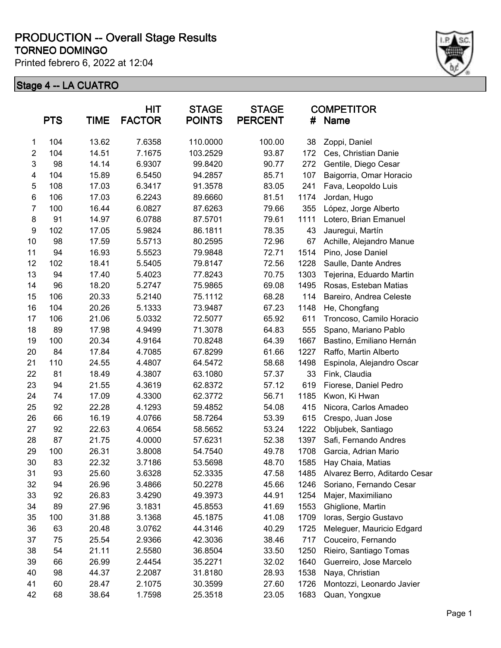Printed febrero 6, 2022 at 12:04



|                         | <b>PTS</b> | <b>TIME</b> | <b>HIT</b><br><b>FACTOR</b> | <b>STAGE</b><br><b>POINTS</b> | <b>STAGE</b><br><b>PERCENT</b> | #    | <b>COMPETITOR</b><br>Name     |
|-------------------------|------------|-------------|-----------------------------|-------------------------------|--------------------------------|------|-------------------------------|
| 1                       | 104        | 13.62       | 7.6358                      | 110.0000                      | 100.00                         | 38   | Zoppi, Daniel                 |
| $\boldsymbol{2}$        | 104        | 14.51       | 7.1675                      | 103.2529                      | 93.87                          | 172  | Ces, Christian Danie          |
| 3                       | 98         | 14.14       | 6.9307                      | 99.8420                       | 90.77                          | 272  | Gentile, Diego Cesar          |
| $\overline{\mathbf{4}}$ | 104        | 15.89       | 6.5450                      | 94.2857                       | 85.71                          | 107  | Baigorria, Omar Horacio       |
| 5                       | 108        | 17.03       | 6.3417                      | 91.3578                       | 83.05                          | 241  | Fava, Leopoldo Luis           |
| 6                       | 106        | 17.03       | 6.2243                      | 89.6660                       | 81.51                          | 1174 | Jordan, Hugo                  |
| $\overline{7}$          | 100        | 16.44       | 6.0827                      | 87.6263                       | 79.66                          | 355  | López, Jorge Alberto          |
| 8                       | 91         | 14.97       | 6.0788                      | 87.5701                       | 79.61                          | 1111 | Lotero, Brian Emanuel         |
| 9                       | 102        | 17.05       | 5.9824                      | 86.1811                       | 78.35                          | 43   | Jauregui, Martín              |
| 10                      | 98         | 17.59       | 5.5713                      | 80.2595                       | 72.96                          | 67   | Achille, Alejandro Manue      |
| 11                      | 94         | 16.93       | 5.5523                      | 79.9848                       | 72.71                          | 1514 | Pino, Jose Daniel             |
| 12                      | 102        | 18.41       | 5.5405                      | 79.8147                       | 72.56                          | 1228 | Saulle, Dante Andres          |
| 13                      | 94         | 17.40       | 5.4023                      | 77.8243                       | 70.75                          | 1303 | Tejerina, Eduardo Martin      |
| 14                      | 96         | 18.20       | 5.2747                      | 75.9865                       | 69.08                          | 1495 | Rosas, Esteban Matias         |
| 15                      | 106        | 20.33       | 5.2140                      | 75.1112                       | 68.28                          | 114  | Bareiro, Andrea Celeste       |
| 16                      | 104        | 20.26       | 5.1333                      | 73.9487                       | 67.23                          | 1148 | He, Chongfang                 |
| 17                      | 106        | 21.06       | 5.0332                      | 72.5077                       | 65.92                          | 611  | Troncoso, Camilo Horacio      |
| 18                      | 89         | 17.98       | 4.9499                      | 71.3078                       | 64.83                          | 555  | Spano, Mariano Pablo          |
| 19                      | 100        | 20.34       | 4.9164                      | 70.8248                       | 64.39                          | 1667 | Bastino, Emiliano Hernán      |
| 20                      | 84         | 17.84       | 4.7085                      | 67.8299                       | 61.66                          | 1227 | Raffo, Martin Alberto         |
| 21                      | 110        | 24.55       | 4.4807                      | 64.5472                       | 58.68                          | 1498 | Espinola, Alejandro Oscar     |
| 22                      | 81         | 18.49       | 4.3807                      | 63.1080                       | 57.37                          | 33   | Fink, Claudia                 |
| 23                      | 94         | 21.55       | 4.3619                      | 62.8372                       | 57.12                          | 619  | Fiorese, Daniel Pedro         |
| 24                      | 74         | 17.09       | 4.3300                      | 62.3772                       | 56.71                          | 1185 | Kwon, Ki Hwan                 |
| 25                      | 92         | 22.28       | 4.1293                      | 59.4852                       | 54.08                          | 415  | Nicora, Carlos Amadeo         |
| 26                      | 66         | 16.19       | 4.0766                      | 58.7264                       | 53.39                          | 615  | Crespo, Juan Jose             |
| 27                      | 92         | 22.63       | 4.0654                      | 58.5652                       | 53.24                          | 1222 | Obljubek, Santiago            |
| 28                      | 87         | 21.75       | 4.0000                      | 57.6231                       | 52.38                          | 1397 | Safi, Fernando Andres         |
| 29                      | 100        | 26.31       | 3.8008                      | 54.7540                       | 49.78                          | 1708 | Garcia, Adrian Mario          |
| 30                      | 83         | 22.32       | 3.7186                      | 53.5698                       | 48.70                          | 1585 | Hay Chaia, Matias             |
| 31                      | 93         | 25.60       | 3.6328                      | 52.3335                       | 47.58                          | 1485 | Alvarez Berro, Aditardo Cesar |
| 32                      | 94         | 26.96       | 3.4866                      | 50.2278                       | 45.66                          | 1246 | Soriano, Fernando Cesar       |
| 33                      | 92         | 26.83       | 3.4290                      | 49.3973                       | 44.91                          | 1254 | Majer, Maximiliano            |
| 34                      | 89         | 27.96       | 3.1831                      | 45.8553                       | 41.69                          | 1553 | Ghiglione, Martin             |
| 35                      | 100        | 31.88       | 3.1368                      | 45.1875                       | 41.08                          | 1709 | Ioras, Sergio Gustavo         |
| 36                      | 63         | 20.48       | 3.0762                      | 44.3146                       | 40.29                          | 1725 | Meleguer, Mauricio Edgard     |
| 37                      | 75         | 25.54       | 2.9366                      | 42.3036                       | 38.46                          | 717  | Couceiro, Fernando            |
| 38                      | 54         | 21.11       | 2.5580                      | 36.8504                       | 33.50                          | 1250 | Rieiro, Santiago Tomas        |
| 39                      | 66         | 26.99       | 2.4454                      | 35.2271                       | 32.02                          | 1640 | Guerreiro, Jose Marcelo       |
| 40                      | 98         | 44.37       | 2.2087                      | 31.8180                       | 28.93                          | 1538 | Naya, Christian               |
| 41                      | 60         | 28.47       | 2.1075                      | 30.3599                       | 27.60                          | 1726 | Montozzi, Leonardo Javier     |
| 42                      | 68         | 38.64       | 1.7598                      | 25.3518                       | 23.05                          | 1683 | Quan, Yongxue                 |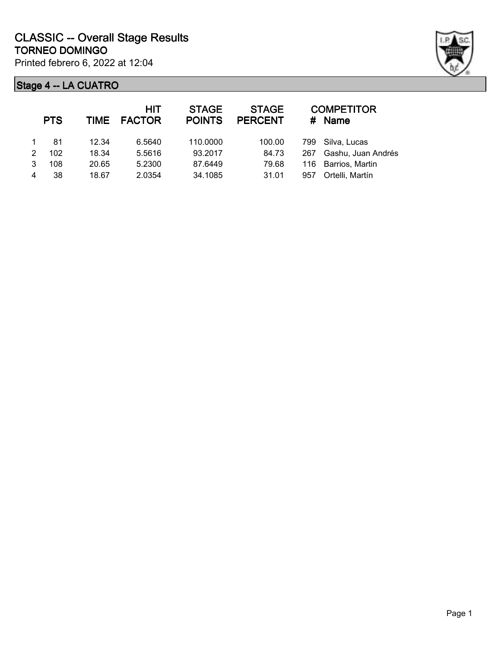

|   | <b>PTS</b> |       | HIT<br>TIME FACTOR | <b>STAGE</b><br><b>POINTS</b> | <b>STAGE</b><br><b>PERCENT</b> |     | <b>COMPETITOR</b><br># Name |
|---|------------|-------|--------------------|-------------------------------|--------------------------------|-----|-----------------------------|
|   | 81         | 12.34 | 6.5640             | 110.0000                      | 100.00                         |     | 799 Silva, Lucas            |
| 2 | 102        | 18.34 | 5.5616             | 93.2017                       | 84.73                          | 267 | Gashu, Juan Andrés          |
| 3 | 108        | 20.65 | 5.2300             | 87.6449                       | 79.68                          |     | 116 Barrios, Martin         |
| 4 | 38         | 18.67 | 2.0354             | 34.1085                       | 31.01                          | 957 | Ortelli, Martín             |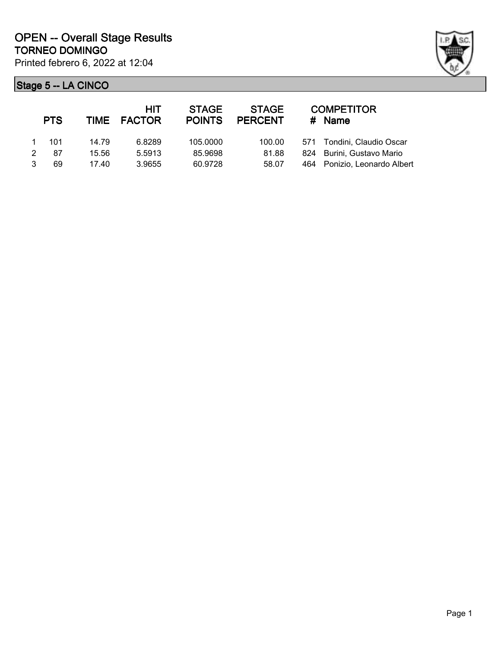

|   | <b>PTS</b> |       | HIT<br>TIME FACTOR | <b>STAGE</b><br><b>POINTS</b> | <b>STAGE</b><br><b>PERCENT</b> |     | <b>COMPETITOR</b><br>$#$ Name |
|---|------------|-------|--------------------|-------------------------------|--------------------------------|-----|-------------------------------|
|   | 101        | 14.79 | 6.8289             | 105,0000                      | 100.00                         |     | 571 Tondini, Claudio Oscar    |
| 2 | 87         | 15.56 | 5.5913             | 85.9698                       | 81.88                          |     | 824 Burini, Gustavo Mario     |
|   | 69         | 17.40 | 3.9655             | 60.9728                       | 58.07                          | 464 | Ponizio, Leonardo Albert      |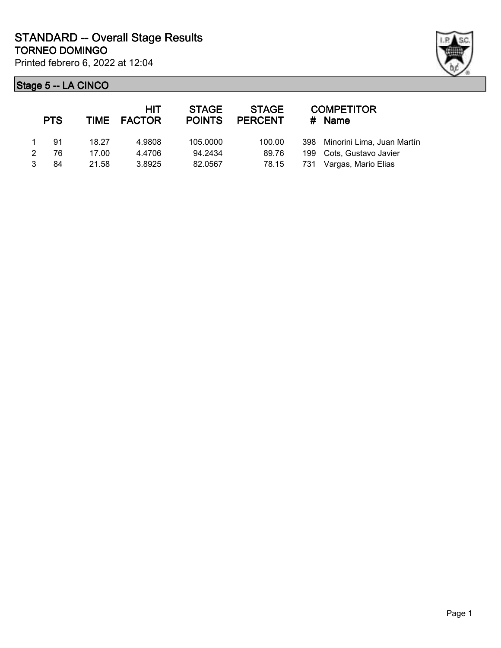

| <b>PTS</b> |       | HIT<br>TIME FACTOR | <b>STAGE</b><br><b>POINTS</b> | <b>STAGE</b><br><b>PERCENT</b> |     | <b>COMPETITOR</b><br>$#$ Name  |
|------------|-------|--------------------|-------------------------------|--------------------------------|-----|--------------------------------|
| .91        | 18.27 | 4.9808             | 105,0000                      | 100.00                         |     | 398 Minorini Lima, Juan Martín |
| 76         | 17.00 | 4.4706             | 94.2434                       | 89.76                          |     | 199 Cots, Gustavo Javier       |
| 84         | 21.58 | 3.8925             | 82.0567                       | 78.15                          | 731 | Vargas, Mario Elias            |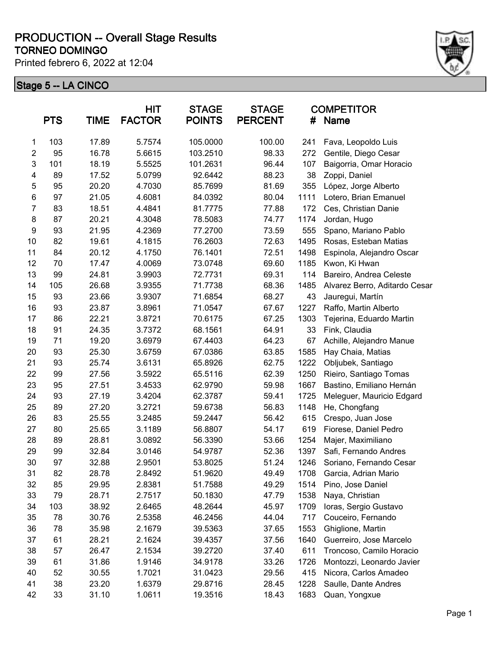Printed febrero 6, 2022 at 12:04



|                           | <b>PTS</b> | <b>TIME</b> | <b>HIT</b><br><b>FACTOR</b> | <b>STAGE</b><br><b>POINTS</b> | <b>STAGE</b><br><b>PERCENT</b> | #    | <b>COMPETITOR</b><br>Name     |
|---------------------------|------------|-------------|-----------------------------|-------------------------------|--------------------------------|------|-------------------------------|
| 1                         | 103        | 17.89       | 5.7574                      | 105.0000                      | 100.00                         | 241  | Fava, Leopoldo Luis           |
| $\mathbf 2$               | 95         | 16.78       | 5.6615                      | 103.2510                      | 98.33                          | 272  | Gentile, Diego Cesar          |
| $\ensuremath{\mathsf{3}}$ | 101        | 18.19       | 5.5525                      | 101.2631                      | 96.44                          | 107  | Baigorria, Omar Horacio       |
| $\overline{\mathbf{4}}$   | 89         | 17.52       | 5.0799                      | 92.6442                       | 88.23                          | 38   | Zoppi, Daniel                 |
| 5                         | 95         | 20.20       | 4.7030                      | 85.7699                       | 81.69                          | 355  | López, Jorge Alberto          |
| $\,6$                     | 97         | 21.05       | 4.6081                      | 84.0392                       | 80.04                          | 1111 | Lotero, Brian Emanuel         |
| $\overline{7}$            | 83         | 18.51       | 4.4841                      | 81.7775                       | 77.88                          | 172  | Ces, Christian Danie          |
| 8                         | 87         | 20.21       | 4.3048                      | 78.5083                       | 74.77                          | 1174 | Jordan, Hugo                  |
| 9                         | 93         | 21.95       | 4.2369                      | 77.2700                       | 73.59                          | 555  | Spano, Mariano Pablo          |
| 10                        | 82         | 19.61       | 4.1815                      | 76.2603                       | 72.63                          | 1495 | Rosas, Esteban Matias         |
| 11                        | 84         | 20.12       | 4.1750                      | 76.1401                       | 72.51                          | 1498 | Espinola, Alejandro Oscar     |
| 12                        | 70         | 17.47       | 4.0069                      | 73.0748                       | 69.60                          | 1185 | Kwon, Ki Hwan                 |
| 13                        | 99         | 24.81       | 3.9903                      | 72.7731                       | 69.31                          | 114  | Bareiro, Andrea Celeste       |
| 14                        | 105        | 26.68       | 3.9355                      | 71.7738                       | 68.36                          | 1485 | Alvarez Berro, Aditardo Cesar |
| 15                        | 93         | 23.66       | 3.9307                      | 71.6854                       | 68.27                          | 43   | Jauregui, Martín              |
| 16                        | 93         | 23.87       | 3.8961                      | 71.0547                       | 67.67                          | 1227 | Raffo, Martin Alberto         |
| 17                        | 86         | 22.21       | 3.8721                      | 70.6175                       | 67.25                          | 1303 | Tejerina, Eduardo Martin      |
| 18                        | 91         | 24.35       | 3.7372                      | 68.1561                       | 64.91                          | 33   | Fink, Claudia                 |
| 19                        | 71         | 19.20       | 3.6979                      | 67.4403                       | 64.23                          | 67   | Achille, Alejandro Manue      |
| 20                        | 93         | 25.30       | 3.6759                      | 67.0386                       | 63.85                          | 1585 | Hay Chaia, Matias             |
| 21                        | 93         | 25.74       | 3.6131                      | 65.8926                       | 62.75                          | 1222 | Obljubek, Santiago            |
| 22                        | 99         | 27.56       | 3.5922                      | 65.5116                       | 62.39                          | 1250 | Rieiro, Santiago Tomas        |
| 23                        | 95         | 27.51       | 3.4533                      | 62.9790                       | 59.98                          | 1667 | Bastino, Emiliano Hernán      |
| 24                        | 93         | 27.19       | 3.4204                      | 62.3787                       | 59.41                          | 1725 | Meleguer, Mauricio Edgard     |
| 25                        | 89         | 27.20       | 3.2721                      | 59.6738                       | 56.83                          | 1148 | He, Chongfang                 |
| 26                        | 83         | 25.55       | 3.2485                      | 59.2447                       | 56.42                          | 615  | Crespo, Juan Jose             |
| 27                        | 80         | 25.65       | 3.1189                      | 56.8807                       | 54.17                          | 619  | Fiorese, Daniel Pedro         |
| 28                        | 89         | 28.81       | 3.0892                      | 56.3390                       | 53.66                          | 1254 | Majer, Maximiliano            |
| 29                        | 99         | 32.84       | 3.0146                      | 54.9787                       | 52.36                          | 1397 | Safi, Fernando Andres         |
| 30                        | 97         | 32.88       | 2.9501                      | 53.8025                       | 51.24                          | 1246 | Soriano, Fernando Cesar       |
| 31                        | 82         | 28.78       | 2.8492                      | 51.9620                       | 49.49                          | 1708 | Garcia, Adrian Mario          |
| 32                        | 85         | 29.95       | 2.8381                      | 51.7588                       | 49.29                          | 1514 | Pino, Jose Daniel             |
| 33                        | 79         | 28.71       | 2.7517                      | 50.1830                       | 47.79                          | 1538 | Naya, Christian               |
| 34                        | 103        | 38.92       | 2.6465                      | 48.2644                       | 45.97                          | 1709 | Ioras, Sergio Gustavo         |
| 35                        | 78         | 30.76       | 2.5358                      | 46.2456                       | 44.04                          | 717  | Couceiro, Fernando            |
| 36                        | 78         | 35.98       | 2.1679                      | 39.5363                       | 37.65                          | 1553 | Ghiglione, Martin             |
| 37                        | 61         | 28.21       | 2.1624                      | 39.4357                       | 37.56                          | 1640 | Guerreiro, Jose Marcelo       |
| 38                        | 57         | 26.47       | 2.1534                      | 39.2720                       | 37.40                          | 611  | Troncoso, Camilo Horacio      |
| 39                        | 61         | 31.86       | 1.9146                      | 34.9178                       | 33.26                          | 1726 | Montozzi, Leonardo Javier     |
| 40                        | 52         | 30.55       | 1.7021                      | 31.0423                       | 29.56                          | 415  | Nicora, Carlos Amadeo         |
| 41                        | 38         | 23.20       | 1.6379                      | 29.8716                       | 28.45                          | 1228 | Saulle, Dante Andres          |
| 42                        | 33         | 31.10       | 1.0611                      | 19.3516                       | 18.43                          | 1683 | Quan, Yongxue                 |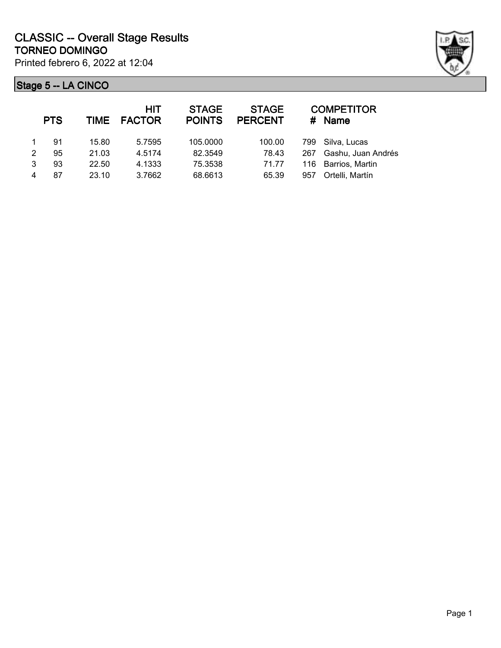

|   | <b>PTS</b> |       | <b>HIT</b><br>TIME FACTOR | <b>STAGE</b><br><b>POINTS</b> | <b>STAGE</b><br><b>PERCENT</b> |     | <b>COMPETITOR</b><br># Name |
|---|------------|-------|---------------------------|-------------------------------|--------------------------------|-----|-----------------------------|
|   | 91         | 15.80 | 5.7595                    | 105.0000                      | 100.00                         |     | 799 Silva, Lucas            |
| 2 | 95         | 21.03 | 4.5174                    | 82.3549                       | 78.43                          | 267 | Gashu, Juan Andrés          |
| 3 | 93         | 22.50 | 4.1333                    | 75.3538                       | 71.77                          |     | 116 Barrios, Martin         |
| 4 | 87         | 23.10 | 3.7662                    | 68.6613                       | 65.39                          | 957 | Ortelli, Martín             |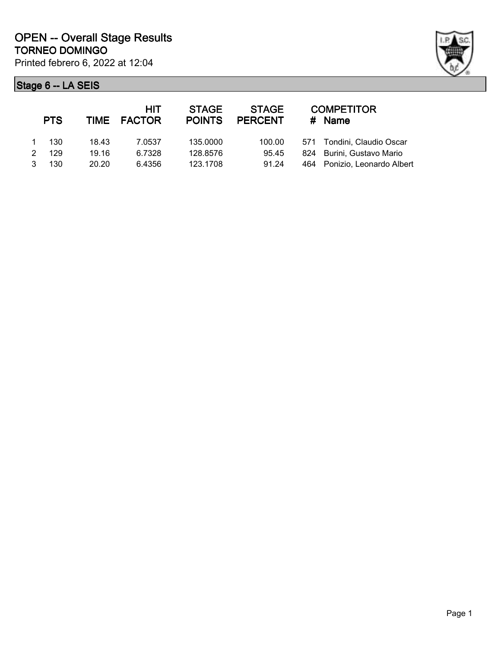

|   | <b>PTS</b> |       | HIT<br>TIME FACTOR | <b>STAGE</b><br><b>POINTS</b> | <b>STAGE</b><br><b>PERCENT</b> | <b>COMPETITOR</b><br># Name  |
|---|------------|-------|--------------------|-------------------------------|--------------------------------|------------------------------|
|   | 130        | 18.43 | 7.0537             | 135,0000                      | 100.00                         | 571 Tondini, Claudio Oscar   |
| 2 | 129        | 19.16 | 6.7328             | 128.8576                      | 95.45                          | 824 Burini, Gustavo Mario    |
| 3 | 130        | 20.20 | 6.4356             | 123.1708                      | 91.24                          | 464 Ponizio, Leonardo Albert |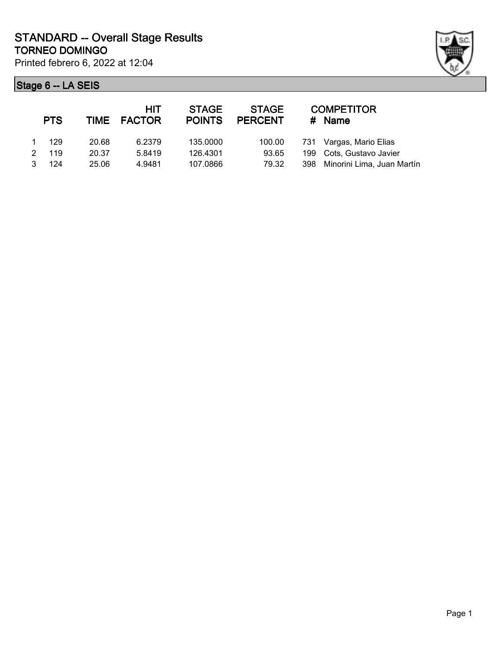

| <b>PTS</b> |       | <b>HIT</b><br>TIME FACTOR | <b>STAGE</b><br><b>POINTS</b> | <b>STAGE</b><br><b>PERCENT</b> | # | <b>COMPETITOR</b><br>Name      |
|------------|-------|---------------------------|-------------------------------|--------------------------------|---|--------------------------------|
| 129        | 20.68 | 6.2379                    | 135.0000                      | 100.00                         |   | 731 Vargas, Mario Elias        |
| 119        | 20.37 | 5.8419                    | 126.4301                      | 93.65                          |   | 199 Cots, Gustavo Javier       |
| 124        | 25.06 | 4.9481                    | 107.0866                      | 79.32                          |   | 398 Minorini Lima, Juan Martín |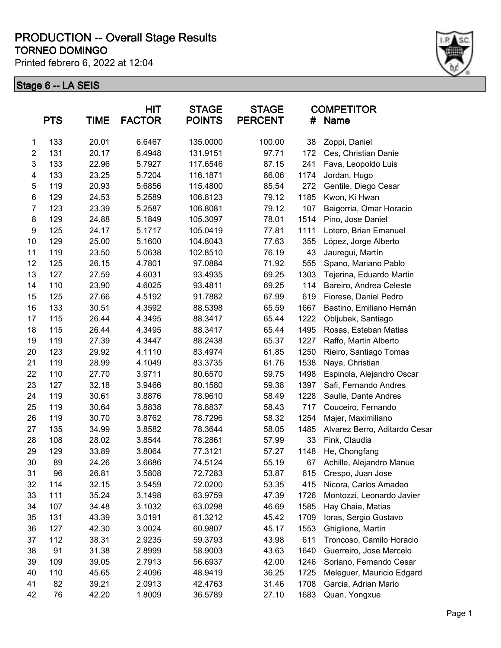Printed febrero 6, 2022 at 12:04



|                  | <b>PTS</b> | <b>TIME</b> | <b>HIT</b><br><b>FACTOR</b> | <b>STAGE</b><br><b>POINTS</b> | <b>STAGE</b><br><b>PERCENT</b> | #    | <b>COMPETITOR</b><br>Name     |
|------------------|------------|-------------|-----------------------------|-------------------------------|--------------------------------|------|-------------------------------|
| 1                | 133        | 20.01       | 6.6467                      | 135.0000                      | 100.00                         | 38   | Zoppi, Daniel                 |
| $\boldsymbol{2}$ | 131        | 20.17       | 6.4948                      | 131.9151                      | 97.71                          | 172  | Ces, Christian Danie          |
| 3                | 133        | 22.96       | 5.7927                      | 117.6546                      | 87.15                          | 241  | Fava, Leopoldo Luis           |
| 4                | 133        | 23.25       | 5.7204                      | 116.1871                      | 86.06                          | 1174 | Jordan, Hugo                  |
| $\mathbf 5$      | 119        | 20.93       | 5.6856                      | 115.4800                      | 85.54                          | 272  | Gentile, Diego Cesar          |
| $\,6$            | 129        | 24.53       | 5.2589                      | 106.8123                      | 79.12                          | 1185 | Kwon, Ki Hwan                 |
| 7                | 123        | 23.39       | 5.2587                      | 106.8081                      | 79.12                          | 107  | Baigorria, Omar Horacio       |
| 8                | 129        | 24.88       | 5.1849                      | 105.3097                      | 78.01                          | 1514 | Pino, Jose Daniel             |
| 9                | 125        | 24.17       | 5.1717                      | 105.0419                      | 77.81                          | 1111 | Lotero, Brian Emanuel         |
| 10               | 129        | 25.00       | 5.1600                      | 104.8043                      | 77.63                          | 355  | López, Jorge Alberto          |
| 11               | 119        | 23.50       | 5.0638                      | 102.8510                      | 76.19                          | 43   | Jauregui, Martín              |
| 12               | 125        | 26.15       | 4.7801                      | 97.0884                       | 71.92                          | 555  | Spano, Mariano Pablo          |
| 13               | 127        | 27.59       | 4.6031                      | 93.4935                       | 69.25                          | 1303 | Tejerina, Eduardo Martin      |
| 14               | 110        | 23.90       | 4.6025                      | 93.4811                       | 69.25                          | 114  | Bareiro, Andrea Celeste       |
| 15               | 125        | 27.66       | 4.5192                      | 91.7882                       | 67.99                          | 619  | Fiorese, Daniel Pedro         |
| 16               | 133        | 30.51       | 4.3592                      | 88.5398                       | 65.59                          | 1667 | Bastino, Emiliano Hernán      |
| 17               | 115        | 26.44       | 4.3495                      | 88.3417                       | 65.44                          | 1222 | Obljubek, Santiago            |
| 18               | 115        | 26.44       | 4.3495                      | 88.3417                       | 65.44                          | 1495 | Rosas, Esteban Matias         |
| 19               | 119        | 27.39       | 4.3447                      | 88.2438                       | 65.37                          | 1227 | Raffo, Martin Alberto         |
| 20               | 123        | 29.92       | 4.1110                      | 83.4974                       | 61.85                          | 1250 | Rieiro, Santiago Tomas        |
| 21               | 119        | 28.99       | 4.1049                      | 83.3735                       | 61.76                          | 1538 | Naya, Christian               |
| 22               | 110        | 27.70       | 3.9711                      | 80.6570                       | 59.75                          | 1498 | Espinola, Alejandro Oscar     |
| 23               | 127        | 32.18       | 3.9466                      | 80.1580                       | 59.38                          | 1397 | Safi, Fernando Andres         |
| 24               | 119        | 30.61       | 3.8876                      | 78.9610                       | 58.49                          | 1228 | Saulle, Dante Andres          |
| 25               | 119        | 30.64       | 3.8838                      | 78.8837                       | 58.43                          | 717  | Couceiro, Fernando            |
| 26               | 119        | 30.70       | 3.8762                      | 78.7296                       | 58.32                          | 1254 | Majer, Maximiliano            |
| 27               | 135        | 34.99       | 3.8582                      | 78.3644                       | 58.05                          | 1485 | Alvarez Berro, Aditardo Cesar |
| 28               | 108        | 28.02       | 3.8544                      | 78.2861                       | 57.99                          | 33   | Fink, Claudia                 |
| 29               | 129        | 33.89       | 3.8064                      | 77.3121                       | 57.27                          | 1148 | He, Chongfang                 |
| 30               | 89         | 24.26       | 3.6686                      | 74.5124                       | 55.19                          | 67   | Achille, Alejandro Manue      |
| 31               | 96         | 26.81       | 3.5808                      | 72.7283                       | 53.87                          | 615  | Crespo, Juan Jose             |
| 32               | 114        | 32.15       | 3.5459                      | 72.0200                       | 53.35                          | 415  | Nicora, Carlos Amadeo         |
| 33               | 111        | 35.24       | 3.1498                      | 63.9759                       | 47.39                          | 1726 | Montozzi, Leonardo Javier     |
| 34               | 107        | 34.48       | 3.1032                      | 63.0298                       | 46.69                          | 1585 | Hay Chaia, Matias             |
| 35               | 131        | 43.39       | 3.0191                      | 61.3212                       | 45.42                          | 1709 | Ioras, Sergio Gustavo         |
| 36               | 127        | 42.30       | 3.0024                      | 60.9807                       | 45.17                          | 1553 | Ghiglione, Martin             |
| 37               | 112        | 38.31       | 2.9235                      | 59.3793                       | 43.98                          | 611  | Troncoso, Camilo Horacio      |
| 38               | 91         | 31.38       | 2.8999                      | 58.9003                       | 43.63                          | 1640 | Guerreiro, Jose Marcelo       |
| 39               | 109        | 39.05       | 2.7913                      | 56.6937                       | 42.00                          | 1246 | Soriano, Fernando Cesar       |
| 40               | 110        | 45.65       | 2.4096                      | 48.9419                       | 36.25                          | 1725 | Meleguer, Mauricio Edgard     |
| 41               | 82         | 39.21       | 2.0913                      | 42.4763                       | 31.46                          | 1708 | Garcia, Adrian Mario          |
| 42               | 76         | 42.20       | 1.8009                      | 36.5789                       | 27.10                          | 1683 | Quan, Yongxue                 |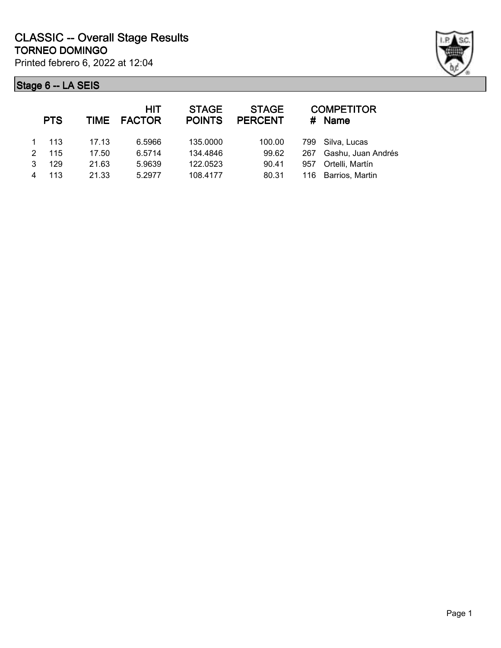

|               | <b>PTS</b> |       | <b>HIT</b><br>TIME FACTOR | <b>STAGE</b><br><b>POINTS</b> | <b>STAGE</b><br><b>PERCENT</b> |     | <b>COMPETITOR</b><br># Name |
|---------------|------------|-------|---------------------------|-------------------------------|--------------------------------|-----|-----------------------------|
|               | 113        | 17.13 | 6.5966                    | 135.0000                      | 100.00                         |     | 799 Silva, Lucas            |
| $\mathcal{P}$ | 115        | 17.50 | 6.5714                    | 134.4846                      | 99.62                          | 267 | Gashu, Juan Andrés          |
| 3             | 129        | 21.63 | 5.9639                    | 122.0523                      | 90.41                          | 957 | Ortelli, Martín             |
|               | 113        | 21.33 | 5.2977                    | 108.4177                      | 80.31                          |     | 116 Barrios, Martin         |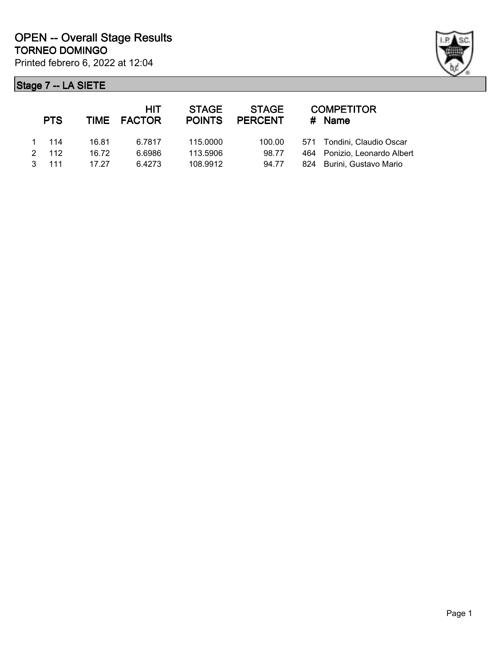

|               | <b>PTS</b> |       | HIT<br>TIME FACTOR | <b>STAGE</b><br><b>POINTS</b> | <b>STAGE</b><br><b>PERCENT</b> | <b>COMPETITOR</b><br>$#$ Name |
|---------------|------------|-------|--------------------|-------------------------------|--------------------------------|-------------------------------|
|               | -114       | 16.81 | 6.7817             | 115.0000                      | 100.00                         | 571 Tondini, Claudio Oscar    |
| $\mathcal{P}$ | 112        | 16.72 | 6.6986             | 113.5906                      | 98.77                          | 464 Ponizio, Leonardo Albert  |
|               | 111        | 17.27 | 6.4273             | 108.9912                      | 94.77                          | 824 Burini, Gustavo Mario     |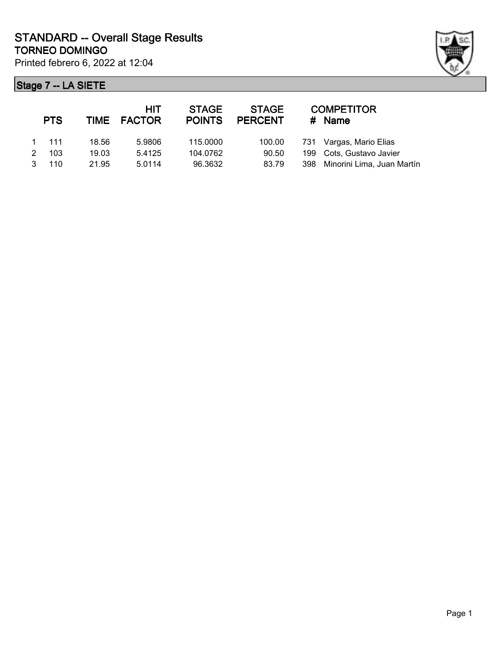

| <b>PTS</b>    |       | <b>HIT</b><br>TIME FACTOR | <b>STAGE</b><br><b>POINTS</b> | <b>STAGE</b><br><b>PERCENT</b> | <b>COMPETITOR</b><br>$#$ Name  |
|---------------|-------|---------------------------|-------------------------------|--------------------------------|--------------------------------|
| $1 \quad 111$ | 18.56 | 5.9806                    | 115.0000                      | 100.00                         | 731 Vargas, Mario Elias        |
| 103           | 19.03 | 5.4125                    | 104.0762                      | 90.50                          | 199 Cots, Gustavo Javier       |
| 110           | 21.95 | 5.0114                    | 96.3632                       | 83.79                          | 398 Minorini Lima, Juan Martín |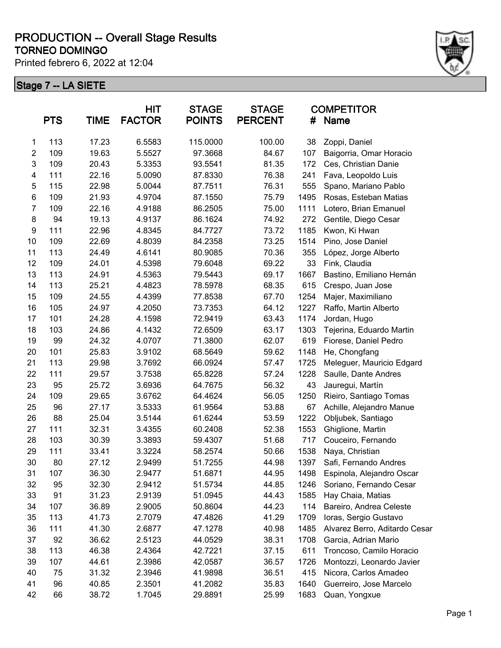Printed febrero 6, 2022 at 12:04



| <b>PTS</b><br>TIME |     | <b>HIT</b><br><b>STAGE</b><br><b>FACTOR</b><br><b>POINTS</b> |        | <b>STAGE</b><br><b>PERCENT</b><br># |        | <b>COMPETITOR</b><br><b>Name</b> |                               |
|--------------------|-----|--------------------------------------------------------------|--------|-------------------------------------|--------|----------------------------------|-------------------------------|
| 1                  | 113 | 17.23                                                        | 6.5583 | 115.0000                            | 100.00 | 38                               | Zoppi, Daniel                 |
| $\overline{2}$     | 109 | 19.63                                                        | 5.5527 | 97.3668                             | 84.67  | 107                              | Baigorria, Omar Horacio       |
| 3                  | 109 | 20.43                                                        | 5.3353 | 93.5541                             | 81.35  | 172                              | Ces, Christian Danie          |
| 4                  | 111 | 22.16                                                        | 5.0090 | 87.8330                             | 76.38  | 241                              | Fava, Leopoldo Luis           |
| 5                  | 115 | 22.98                                                        | 5.0044 | 87.7511                             | 76.31  | 555                              | Spano, Mariano Pablo          |
| $\,6$              | 109 | 21.93                                                        | 4.9704 | 87.1550                             | 75.79  | 1495                             | Rosas, Esteban Matias         |
| 7                  | 109 | 22.16                                                        | 4.9188 | 86.2505                             | 75.00  | 1111                             | Lotero, Brian Emanuel         |
| $\bf 8$            | 94  | 19.13                                                        | 4.9137 | 86.1624                             | 74.92  | 272                              | Gentile, Diego Cesar          |
| $\boldsymbol{9}$   | 111 | 22.96                                                        | 4.8345 | 84.7727                             | 73.72  | 1185                             | Kwon, Ki Hwan                 |
| 10                 | 109 | 22.69                                                        | 4.8039 | 84.2358                             | 73.25  | 1514                             | Pino, Jose Daniel             |
| 11                 | 113 | 24.49                                                        | 4.6141 | 80.9085                             | 70.36  | 355                              | López, Jorge Alberto          |
| 12                 | 109 | 24.01                                                        | 4.5398 | 79.6048                             | 69.22  | 33                               | Fink, Claudia                 |
| 13                 | 113 | 24.91                                                        | 4.5363 | 79.5443                             | 69.17  | 1667                             | Bastino, Emiliano Hernán      |
| 14                 | 113 | 25.21                                                        | 4.4823 | 78.5978                             | 68.35  | 615                              | Crespo, Juan Jose             |
| 15                 | 109 | 24.55                                                        | 4.4399 | 77.8538                             | 67.70  | 1254                             | Majer, Maximiliano            |
| 16                 | 105 | 24.97                                                        | 4.2050 | 73.7353                             | 64.12  | 1227                             | Raffo, Martin Alberto         |
| 17                 | 101 | 24.28                                                        | 4.1598 | 72.9419                             | 63.43  | 1174                             | Jordan, Hugo                  |
| 18                 | 103 | 24.86                                                        | 4.1432 | 72.6509                             | 63.17  | 1303                             | Tejerina, Eduardo Martin      |
| 19                 | 99  | 24.32                                                        | 4.0707 | 71.3800                             | 62.07  | 619                              | Fiorese, Daniel Pedro         |
| 20                 | 101 | 25.83                                                        | 3.9102 | 68.5649                             | 59.62  | 1148                             | He, Chongfang                 |
| 21                 | 113 | 29.98                                                        | 3.7692 | 66.0924                             | 57.47  | 1725                             | Meleguer, Mauricio Edgard     |
| 22                 | 111 | 29.57                                                        | 3.7538 | 65.8228                             | 57.24  | 1228                             | Saulle, Dante Andres          |
| 23                 | 95  | 25.72                                                        | 3.6936 | 64.7675                             | 56.32  | 43                               | Jauregui, Martín              |
| 24                 | 109 | 29.65                                                        | 3.6762 | 64.4624                             | 56.05  | 1250                             | Rieiro, Santiago Tomas        |
| 25                 | 96  | 27.17                                                        | 3.5333 | 61.9564                             | 53.88  | 67                               | Achille, Alejandro Manue      |
| 26                 | 88  | 25.04                                                        | 3.5144 | 61.6244                             | 53.59  | 1222                             | Obljubek, Santiago            |
| 27                 | 111 | 32.31                                                        | 3.4355 | 60.2408                             | 52.38  | 1553                             | Ghiglione, Martin             |
| 28                 | 103 | 30.39                                                        | 3.3893 | 59.4307                             | 51.68  | 717                              | Couceiro, Fernando            |
| 29                 | 111 | 33.41                                                        | 3.3224 | 58.2574                             | 50.66  | 1538                             | Naya, Christian               |
| 30                 | 80  | 27.12                                                        | 2.9499 | 51.7255                             | 44.98  | 1397                             | Safi, Fernando Andres         |
| 31                 | 107 | 36.30                                                        | 2.9477 | 51.6871                             | 44.95  | 1498                             | Espinola, Alejandro Oscar     |
| 32                 | 95  | 32.30                                                        | 2.9412 | 51.5734                             | 44.85  | 1246                             | Soriano, Fernando Cesar       |
| 33                 | 91  | 31.23                                                        | 2.9139 | 51.0945                             | 44.43  | 1585                             | Hay Chaia, Matias             |
| 34                 | 107 | 36.89                                                        | 2.9005 | 50.8604                             | 44.23  | 114                              | Bareiro, Andrea Celeste       |
| 35                 | 113 | 41.73                                                        | 2.7079 | 47.4826                             | 41.29  | 1709                             | Ioras, Sergio Gustavo         |
| 36                 | 111 | 41.30                                                        | 2.6877 | 47.1278                             | 40.98  | 1485                             | Alvarez Berro, Aditardo Cesar |
| 37                 | 92  | 36.62                                                        | 2.5123 | 44.0529                             | 38.31  | 1708                             | Garcia, Adrian Mario          |
| 38                 | 113 | 46.38                                                        | 2.4364 | 42.7221                             | 37.15  | 611                              | Troncoso, Camilo Horacio      |
| 39                 | 107 | 44.61                                                        | 2.3986 | 42.0587                             | 36.57  | 1726                             | Montozzi, Leonardo Javier     |
| 40                 | 75  | 31.32                                                        | 2.3946 | 41.9898                             | 36.51  | 415                              | Nicora, Carlos Amadeo         |
| 41                 | 96  | 40.85                                                        | 2.3501 | 41.2082                             | 35.83  | 1640                             | Guerreiro, Jose Marcelo       |
| 42                 | 66  | 38.72                                                        | 1.7045 | 29.8891                             | 25.99  | 1683                             | Quan, Yongxue                 |